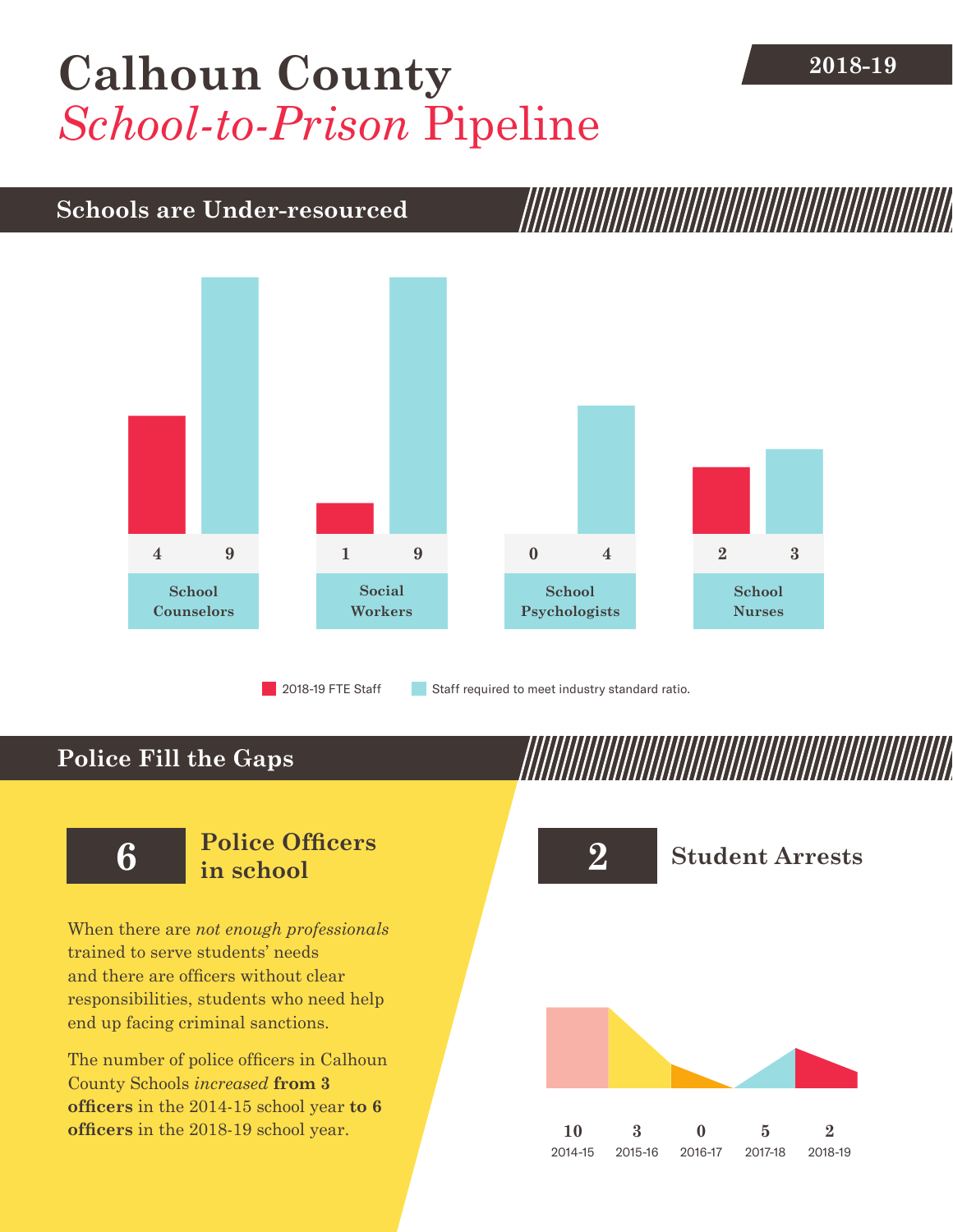## [Calhoun County](DBF_County) **2018-19** *School-to-Prison* Pipeline

## **Schools are Under-resourced**



**Police Fill the Gaps**

When there are *not enough professionals* trained to serve students' needs and there are officers without clear responsibilities, students who need help end up facing criminal sanctions.

The number of police officers in [Calhoun](DBF_County)  [County](DBF_County) Schools *increased* **from [3](DBF_PO1415) officers** in the 2014-15 school year **to [6](DBF_PO) officers** in the 2018-19 school year.